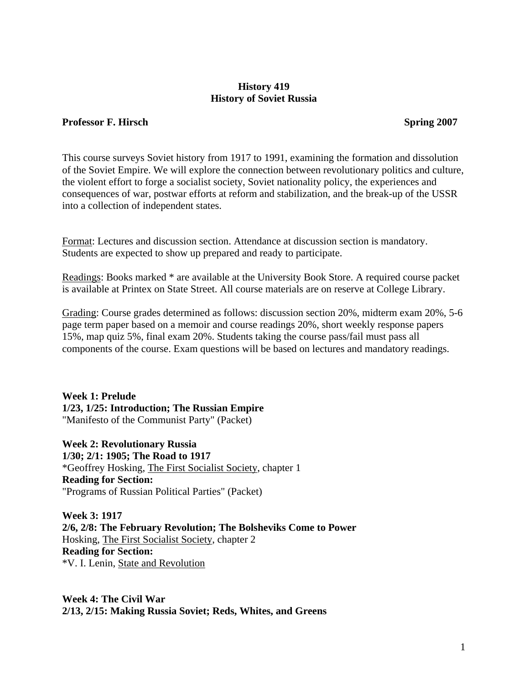### **History 419 History of Soviet Russia**

#### **Professor F. Hirsch Spring 2007**

This course surveys Soviet history from 1917 to 1991, examining the formation and dissolution of the Soviet Empire. We will explore the connection between revolutionary politics and culture, the violent effort to forge a socialist society, Soviet nationality policy, the experiences and consequences of war, postwar efforts at reform and stabilization, and the break-up of the USSR into a collection of independent states.

Format: Lectures and discussion section. Attendance at discussion section is mandatory. Students are expected to show up prepared and ready to participate.

Readings: Books marked \* are available at the University Book Store. A required course packet is available at Printex on State Street. All course materials are on reserve at College Library.

Grading: Course grades determined as follows: discussion section 20%, midterm exam 20%, 5-6 page term paper based on a memoir and course readings 20%, short weekly response papers 15%, map quiz 5%, final exam 20%. Students taking the course pass/fail must pass all components of the course. Exam questions will be based on lectures and mandatory readings.

**Week 1: Prelude 1/23, 1/25: Introduction; The Russian Empire**  "Manifesto of the Communist Party" (Packet)

**Week 2: Revolutionary Russia 1/30; 2/1: 1905; The Road to 1917**  \*Geoffrey Hosking, The First Socialist Society, chapter 1 **Reading for Section:**  "Programs of Russian Political Parties" (Packet)

**Week 3: 1917 2/6, 2/8: The February Revolution; The Bolsheviks Come to Power**  Hosking, The First Socialist Society, chapter 2 **Reading for Section:**  \*V. I. Lenin, State and Revolution

**Week 4: The Civil War 2/13, 2/15: Making Russia Soviet; Reds, Whites, and Greens**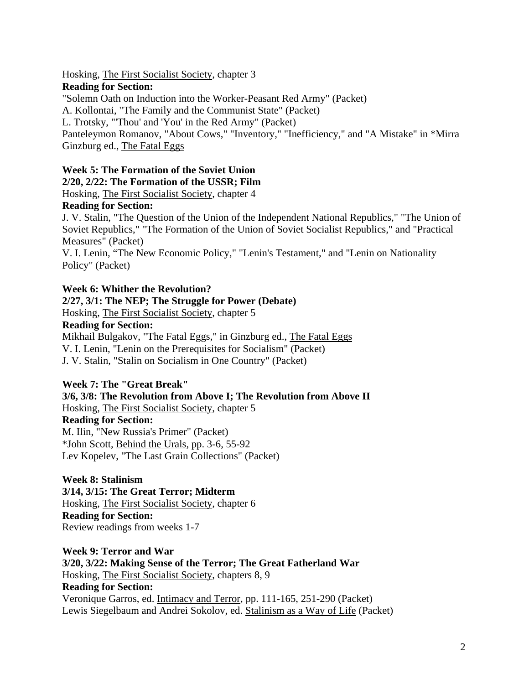Hosking, The First Socialist Society, chapter 3

### **Reading for Section:**

"Solemn Oath on Induction into the Worker-Peasant Red Army" (Packet)

A. Kollontai, "The Family and the Communist State" (Packet)

L. Trotsky, "'Thou' and 'You' in the Red Army" (Packet)

Panteleymon Romanov, "About Cows," "Inventory," "Inefficiency," and "A Mistake" in \*Mirra Ginzburg ed., The Fatal Eggs

# **Week 5: The Formation of the Soviet Union**

**2/20, 2/22: The Formation of the USSR; Film** 

Hosking, The First Socialist Society, chapter 4

## **Reading for Section:**

J. V. Stalin, "The Question of the Union of the Independent National Republics," "The Union of Soviet Republics," "The Formation of the Union of Soviet Socialist Republics," and "Practical Measures" (Packet)

V. I. Lenin, "The New Economic Policy," "Lenin's Testament," and "Lenin on Nationality Policy" (Packet)

## **Week 6: Whither the Revolution?**

## **2/27, 3/1: The NEP; The Struggle for Power (Debate)**

Hosking, The First Socialist Society, chapter 5

### **Reading for Section:**

Mikhail Bulgakov, "The Fatal Eggs," in Ginzburg ed., The Fatal Eggs V. I. Lenin, "Lenin on the Prerequisites for Socialism" (Packet) J. V. Stalin, "Stalin on Socialism in One Country" (Packet)

## **Week 7: The "Great Break"**

**3/6, 3/8: The Revolution from Above I; The Revolution from Above II**  Hosking, The First Socialist Society, chapter 5 **Reading for Section:**  M. Ilin, "New Russia's Primer" (Packet) \*John Scott, Behind the Urals, pp. 3-6, 55-92 Lev Kopelev, "The Last Grain Collections" (Packet)

#### **Week 8: Stalinism 3/14, 3/15: The Great Terror; Midterm**  Hosking, The First Socialist Society, chapter 6

**Reading for Section:**  Review readings from weeks 1-7

### **Week 9: Terror and War**

**3/20, 3/22: Making Sense of the Terror; The Great Fatherland War**  Hosking, The First Socialist Society, chapters 8, 9 **Reading for Section:**  Veronique Garros, ed. Intimacy and Terror, pp. 111-165, 251-290 (Packet) Lewis Siegelbaum and Andrei Sokolov, ed. Stalinism as a Way of Life (Packet)